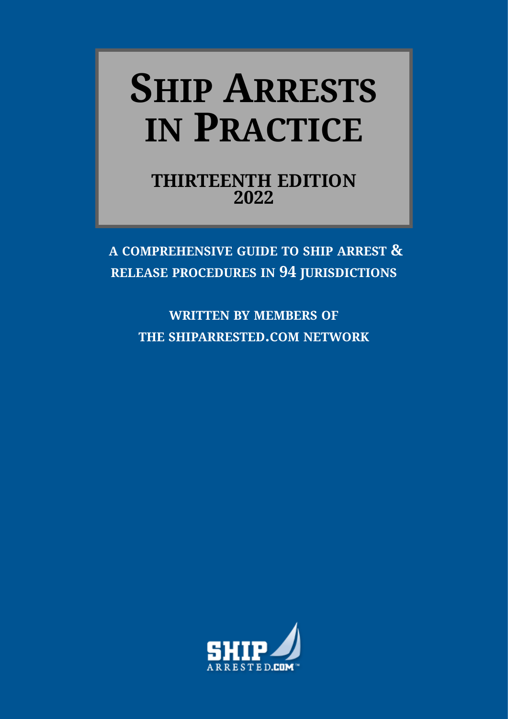# <span id="page-0-6"></span><span id="page-0-4"></span><span id="page-0-3"></span><span id="page-0-2"></span><span id="page-0-1"></span><span id="page-0-0"></span>**SHIP ARRESTS IN PRACTICE**

<span id="page-0-5"></span>**THIRTEENTH EDITION 2022**

**A COMPREHENSIVE GUIDE TO SHIP ARREST & RELEASE PROCEDURES IN 94 JURISDICTIONS**

**WRITTEN BY MEMBERS OF THE SHIPARRESTED.COM NETWORK**

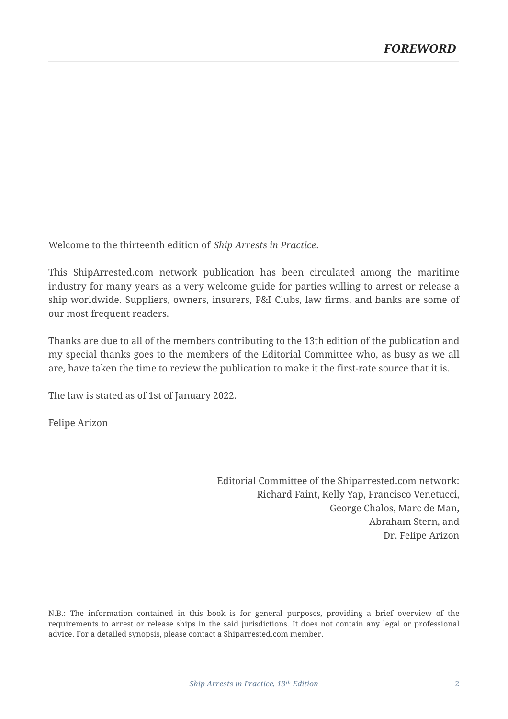Welcome to the thirteenth edition of *Ship Arrests in Practice*.

This ShipArrested.com network publication has been circulated among the maritime industry for many years as a very welcome guide for parties willing to arrest or release a ship worldwide. Suppliers, owners, insurers, P&I Clubs, law firms, and banks are some of our most frequent readers.

Thanks are due to all of the members contributing to the 13th edition of the publication and my special thanks goes to the members of the Editorial Committee who, as busy as we all are, have taken the time to review the publication to make it the first-rate source that it is.

The law is stated as of 1st of January 2022.

Felipe Arizon

Editorial Committee of the Shiparrested.com network: Richard Faint, Kelly Yap, Francisco Venetucci, George Chalos, Marc de Man, Abraham Stern, and Dr. Felipe Arizon

N.B.: The information contained in this book is for general purposes, providing a brief overview of the requirements to arrest or release ships in the said jurisdictions. It does not contain any legal or professional advice. For a detailed synopsis, please contact a Shiparrested.com member.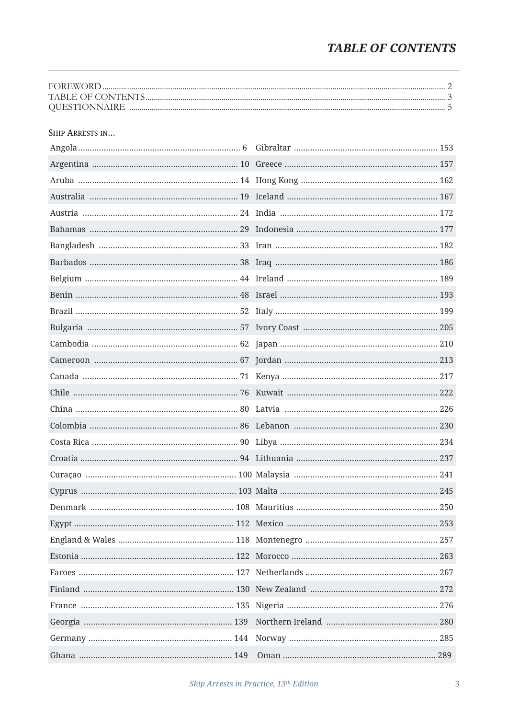## **TABLE OF CONTENTS**

#### SHIP ARRESTS IN...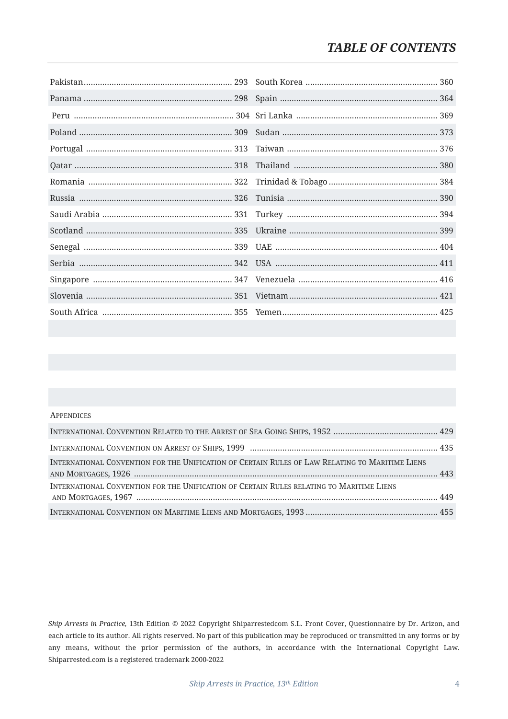#### **APPENDICES**

| INTERNATIONAL CONVENTION FOR THE UNIFICATION OF CERTAIN RULES OF LAW RELATING TO MARITIME LIENS |  |
|-------------------------------------------------------------------------------------------------|--|
| INTERNATIONAL CONVENTION FOR THE UNIFICATION OF CERTAIN RULES RELATING TO MARITIME LIENS        |  |
|                                                                                                 |  |

*Ship Arrests in Practice,* 13th Edition © 2022 Copyright Shiparrestedcom S.L. Front Cover, Questionnaire by Dr. Arizon, and each article to its author. All rights reserved. No part of this publication may be reproduced or transmitted in any forms or by any means, without the prior permission of the authors, in accordance with the International Copyright Law. Shiparrested.com is a registered trademark 2000-2022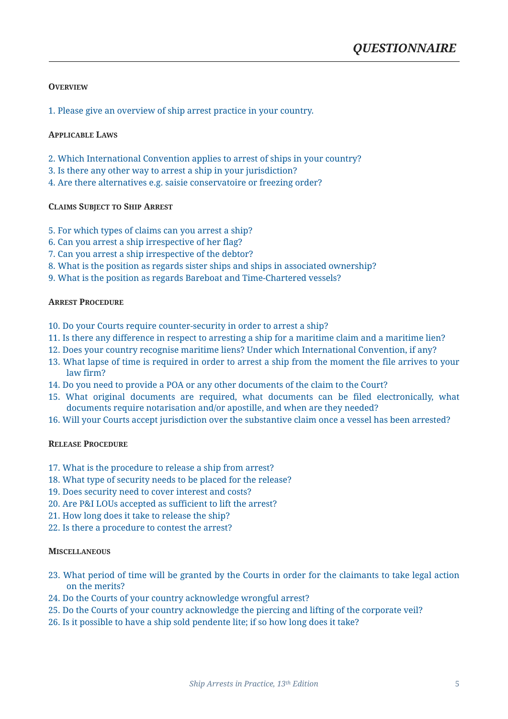#### <span id="page-4-0"></span>**OVERVIEW**

1. Please give an overview of ship arrest practice in your country.

#### **APPLICABLE LAWS**

- 2. Which International Convention applies to arrest of ships in your country?
- 3. Is there any other way to arrest a ship in your jurisdiction?
- 4. Are there alternatives e.g. saisie conservatoire or freezing order?

#### **CLAIMS SUBJECT TO SHIP ARREST**

- 5. For which types of claims can you arrest a ship?
- 6. Can you arrest a ship irrespective of her flag?
- 7. Can you arrest a ship irrespective of the debtor?
- 8. What is the position as regards sister ships and ships in associated ownership?
- 9. What is the position as regards Bareboat and Time-Chartered vessels?

#### **ARREST PROCEDURE**

- 10. Do your Courts require counter-security in order to arrest a ship?
- 11. Is there any difference in respect to arresting a ship for a maritime claim and a maritime lien?
- 12. Does your country recognise maritime liens? Under which International Convention, if any?
- 13. What lapse of time is required in order to arrest a ship from the moment the file arrives to your law firm?
- 14. Do you need to provide a POA or any other documents of the claim to the Court?
- 15. What original documents are required, what documents can be filed electronically, what documents require notarisation and/or apostille, and when are they needed?
- 16. Will your Courts accept jurisdiction over the substantive claim once a vessel has been arrested?

#### **RELEASE PROCEDURE**

- 17. What is the procedure to release a ship from arrest?
- 18. What type of security needs to be placed for the release?
- 19. Does security need to cover interest and costs?
- 20. Are P&I LOUs accepted as sufficient to lift the arrest?
- 21. How long does it take to release the ship?
- 22. Is there a procedure to contest the arrest?

#### **MISCELLANEOUS**

- 23. What period of time will be granted by the Courts in order for the claimants to take legal action on the merits?
- 24. Do the Courts of your country acknowledge wrongful arrest?
- 25. Do the Courts of your country acknowledge the piercing and lifting of the corporate veil?
- 26. Is it possible to have a ship sold pendente lite; if so how long does it take?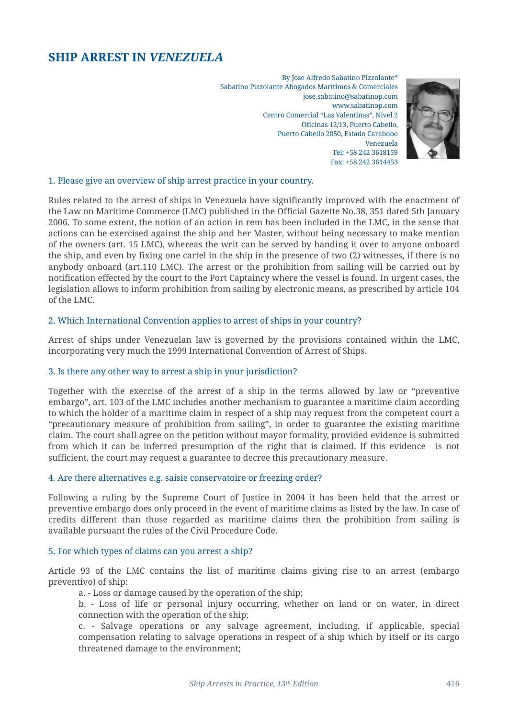## <span id="page-5-0"></span>**SHIP ARREST IN** *VENEZUELA*

By Jose Alfredo Sabatino Pizzolante\* Sabatino Pizzolante Abogados Marítimos & Comerciales jose.sabatino@sabatinop.com www.sabatinop.com Centro Comercial "Las Valentinas", Nivel 2 Oficinas 12/13, Puerto Cabello, Puerto Cabello 2050, Estado Carabobo Venezuela Tel: +58 242 3618159 Fax: +58 242 3614453



#### 1. Please give an overview of ship arrest practice in your country.

Rules related to the arrest of ships in Venezuela have significantly improved with the enactment of the Law on Maritime Commerce (LMC) published in the Official Gazette No.38, 351 dated 5th January 2006. To some extent, the notion of an action in rem has been included in the LMC, in the sense that actions can be exercised against the ship and her Master, without being necessary to make mention of the owners (art. 15 LMC), whereas the writ can be served by handing it over to anyone onboard the ship, and even by fixing one cartel in the ship in the presence of two (2) witnesses, if there is no anybody onboard (art.110 LMC). The arrest or the prohibition from sailing will be carried out by notification effected by the court to the Port Captaincy where the vessel is found. In urgent cases, the legislation allows to inform prohibition from sailing by electronic means, as prescribed by article 104 of the LMC.

#### 2. Which International Convention applies to arrest of ships in your country?

Arrest of ships under Venezuelan law is governed by the provisions contained within the LMC, incorporating very much the 1999 International Convention of Arrest of Ships.

#### 3. Is there any other way to arrest a ship in your jurisdiction?

Together with the exercise of the arrest of a ship in the terms allowed by law or "preventive embargo", art. 103 of the LMC includes another mechanism to guarantee a maritime claim according to which the holder of a maritime claim in respect of a ship may request from the competent court a "precautionary measure of prohibition from sailing", in order to guarantee the existing maritime claim. The court shall agree on the petition without mayor formality, provided evidence is submitted from which it can be inferred presumption of the right that is claimed. If this evidence is not sufficient, the court may request a guarantee to decree this precautionary measure.

#### 4. Are there alternatives e.g. saisie conservatoire or freezing order?

Following a ruling by the Supreme Court of Justice in 2004 it has been held that the arrest or preventive embargo does only proceed in the event of maritime claims as listed by the law. In case of credits different than those regarded as maritime claims then the prohibition from sailing is available pursuant the rules of the Civil Procedure Code.

#### 5. For which types of claims can you arrest a ship?

Article 93 of the LMC contains the list of maritime claims giving rise to an arrest (embargo preventivo) of ship:

a. - Loss or damage caused by the operation of the ship;

b. - Loss of life or personal injury occurring, whether on land or on water, in direct connection with the operation of the ship;

c. - Salvage operations or any salvage agreement, including, if applicable, special compensation relating to salvage operations in respect of a ship which by itself or its cargo threatened damage to the environment;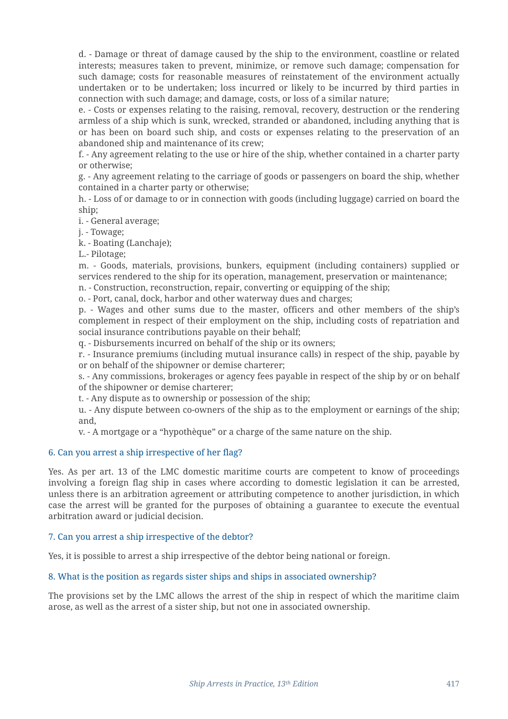d. - Damage or threat of damage caused by the ship to the environment, coastline or related interests; measures taken to prevent, minimize, or remove such damage; compensation for such damage; costs for reasonable measures of reinstatement of the environment actually undertaken or to be undertaken; loss incurred or likely to be incurred by third parties in connection with such damage; and damage, costs, or loss of a similar nature;

e. - Costs or expenses relating to the raising, removal, recovery, destruction or the rendering armless of a ship which is sunk, wrecked, stranded or abandoned, including anything that is or has been on board such ship, and costs or expenses relating to the preservation of an abandoned ship and maintenance of its crew;

f. - Any agreement relating to the use or hire of the ship, whether contained in a charter party or otherwise;

g. - Any agreement relating to the carriage of goods or passengers on board the ship, whether contained in a charter party or otherwise;

h. - Loss of or damage to or in connection with goods (including luggage) carried on board the ship;

i. - General average;

j. - Towage;

k. - Boating (Lanchaje);

L.- Pilotage;

m. - Goods, materials, provisions, bunkers, equipment (including containers) supplied or services rendered to the ship for its operation, management, preservation or maintenance;

n. - Construction, reconstruction, repair, converting or equipping of the ship;

o. - Port, canal, dock, harbor and other waterway dues and charges;

p. - Wages and other sums due to the master, officers and other members of the ship's complement in respect of their employment on the ship, including costs of repatriation and social insurance contributions payable on their behalf;

q. - Disbursements incurred on behalf of the ship or its owners;

r. - Insurance premiums (including mutual insurance calls) in respect of the ship, payable by or on behalf of the shipowner or demise charterer;

s. - Any commissions, brokerages or agency fees payable in respect of the ship by or on behalf of the shipowner or demise charterer;

t. - Any dispute as to ownership or possession of the ship;

u. - Any dispute between co-owners of the ship as to the employment or earnings of the ship; and,

v. - A mortgage or a "hypothèque" or a charge of the same nature on the ship.

#### 6. Can you arrest a ship irrespective of her flag?

Yes. As per art. 13 of the LMC domestic maritime courts are competent to know of proceedings involving a foreign flag ship in cases where according to domestic legislation it can be arrested, unless there is an arbitration agreement or attributing competence to another jurisdiction, in which case the arrest will be granted for the purposes of obtaining a guarantee to execute the eventual arbitration award or judicial decision.

#### 7. Can you arrest a ship irrespective of the debtor?

Yes, it is possible to arrest a ship irrespective of the debtor being national or foreign.

#### 8. What is the position as regards sister ships and ships in associated ownership?

The provisions set by the LMC allows the arrest of the ship in respect of which the maritime claim arose, as well as the arrest of a sister ship, but not one in associated ownership.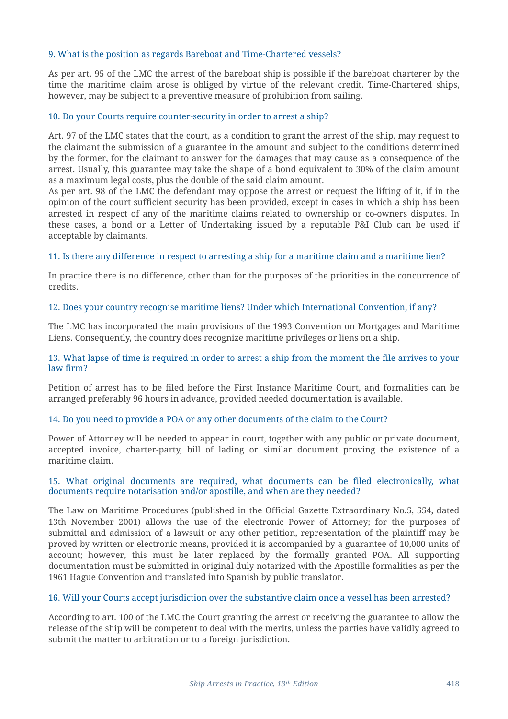#### 9. What is the position as regards Bareboat and Time-Chartered vessels?

As per art. 95 of the LMC the arrest of the bareboat ship is possible if the bareboat charterer by the time the maritime claim arose is obliged by virtue of the relevant credit. Time-Chartered ships, however, may be subject to a preventive measure of prohibition from sailing.

#### 10. Do your Courts require counter-security in order to arrest a ship?

Art. 97 of the LMC states that the court, as a condition to grant the arrest of the ship, may request to the claimant the submission of a guarantee in the amount and subject to the conditions determined by the former, for the claimant to answer for the damages that may cause as a consequence of the arrest. Usually, this guarantee may take the shape of a bond equivalent to 30% of the claim amount as a maximum legal costs, plus the double of the said claim amount.

As per art. 98 of the LMC the defendant may oppose the arrest or request the lifting of it, if in the opinion of the court sufficient security has been provided, except in cases in which a ship has been arrested in respect of any of the maritime claims related to ownership or co-owners disputes. In these cases, a bond or a Letter of Undertaking issued by a reputable P&I Club can be used if acceptable by claimants.

#### 11. Is there any difference in respect to arresting a ship for a maritime claim and a maritime lien?

In practice there is no difference, other than for the purposes of the priorities in the concurrence of credits.

#### 12. Does your country recognise maritime liens? Under which International Convention, if any?

The LMC has incorporated the main provisions of the 1993 Convention on Mortgages and Maritime Liens. Consequently, the country does recognize maritime privileges or liens on a ship.

#### 13. What lapse of time is required in order to arrest a ship from the moment the file arrives to your law firm?

Petition of arrest has to be filed before the First Instance Maritime Court, and formalities can be arranged preferably 96 hours in advance, provided needed documentation is available.

#### 14. Do you need to provide a POA or any other documents of the claim to the Court?

Power of Attorney will be needed to appear in court, together with any public or private document, accepted invoice, charter-party, bill of lading or similar document proving the existence of a maritime claim.

#### 15. What original documents are required, what documents can be filed electronically, what documents require notarisation and/or apostille, and when are they needed?

The Law on Maritime Procedures (published in the Official Gazette Extraordinary No.5, 554, dated 13th November 2001) allows the use of the electronic Power of Attorney; for the purposes of submittal and admission of a lawsuit or any other petition, representation of the plaintiff may be proved by written or electronic means, provided it is accompanied by a guarantee of 10,000 units of account; however, this must be later replaced by the formally granted POA. All supporting documentation must be submitted in original duly notarized with the Apostille formalities as per the 1961 Hague Convention and translated into Spanish by public translator.

#### 16. Will your Courts accept jurisdiction over the substantive claim once a vessel has been arrested?

According to art. 100 of the LMC the Court granting the arrest or receiving the guarantee to allow the release of the ship will be competent to deal with the merits, unless the parties have validly agreed to submit the matter to arbitration or to a foreign jurisdiction.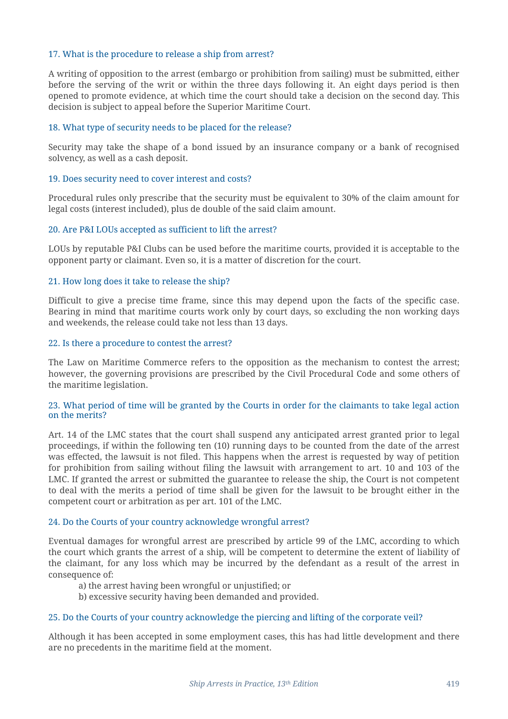#### 17. What is the procedure to release a ship from arrest?

A writing of opposition to the arrest (embargo or prohibition from sailing) must be submitted, either before the serving of the writ or within the three days following it. An eight days period is then opened to promote evidence, at which time the court should take a decision on the second day. This decision is subject to appeal before the Superior Maritime Court.

#### 18. What type of security needs to be placed for the release?

Security may take the shape of a bond issued by an insurance company or a bank of recognised solvency, as well as a cash deposit.

#### 19. Does security need to cover interest and costs?

Procedural rules only prescribe that the security must be equivalent to 30% of the claim amount for legal costs (interest included), plus de double of the said claim amount.

#### 20. Are P&I LOUs accepted as sufficient to lift the arrest?

LOUs by reputable P&I Clubs can be used before the maritime courts, provided it is acceptable to the opponent party or claimant. Even so, it is a matter of discretion for the court.

#### 21. How long does it take to release the ship?

Difficult to give a precise time frame, since this may depend upon the facts of the specific case. Bearing in mind that maritime courts work only by court days, so excluding the non working days and weekends, the release could take not less than 13 days.

#### 22. Is there a procedure to contest the arrest?

The Law on Maritime Commerce refers to the opposition as the mechanism to contest the arrest; however, the governing provisions are prescribed by the Civil Procedural Code and some others of the maritime legislation.

#### 23. What period of time will be granted by the Courts in order for the claimants to take legal action on the merits?

Art. 14 of the LMC states that the court shall suspend any anticipated arrest granted prior to legal proceedings, if within the following ten (10) running days to be counted from the date of the arrest was effected, the lawsuit is not filed. This happens when the arrest is requested by way of petition for prohibition from sailing without filing the lawsuit with arrangement to art. 10 and 103 of the LMC. If granted the arrest or submitted the guarantee to release the ship, the Court is not competent to deal with the merits a period of time shall be given for the lawsuit to be brought either in the competent court or arbitration as per art. 101 of the LMC.

#### 24. Do the Courts of your country acknowledge wrongful arrest?

Eventual damages for wrongful arrest are prescribed by article 99 of the LMC, according to which the court which grants the arrest of a ship, will be competent to determine the extent of liability of the claimant, for any loss which may be incurred by the defendant as a result of the arrest in consequence of:

a) the arrest having been wrongful or unjustified; or

b) excessive security having been demanded and provided.

#### 25. Do the Courts of your country acknowledge the piercing and lifting of the corporate veil?

Although it has been accepted in some employment cases, this has had little development and there are no precedents in the maritime field at the moment.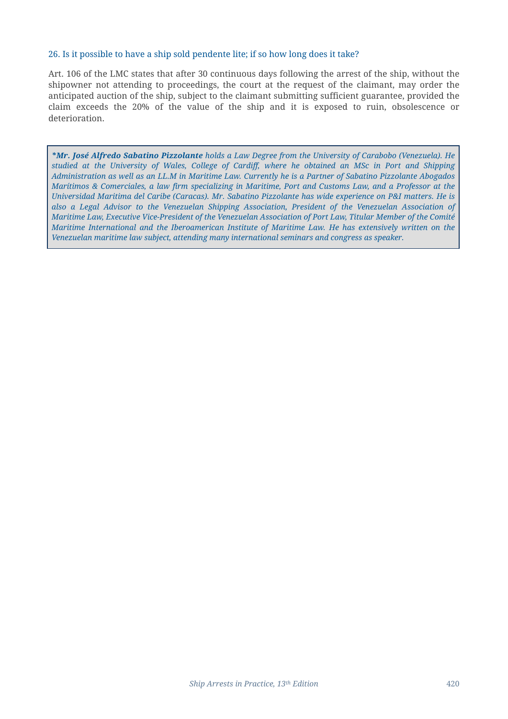#### 26. Is it possible to have a ship sold pendente lite; if so how long does it take?

Art. 106 of the LMC states that after 30 continuous days following the arrest of the ship, without the shipowner not attending to proceedings, the court at the request of the claimant, may order the anticipated auction of the ship, subject to the claimant submitting sufficient guarantee, provided the claim exceeds the 20% of the value of the ship and it is exposed to ruin, obsolescence or deterioration.

*\*Mr. José Alfredo Sabatino Pizzolante holds a Law Degree from the University of Carabobo (Venezuela). He studied at the University of Wales, College of Cardiff, where he obtained an MSc in Port and Shipping Administration as well as an LL.M in Maritime Law. Currently he is a Partner of Sabatino Pizzolante Abogados Marítimos & Comerciales, a law firm specializing in Maritime, Port and Customs Law, and a Professor at the Universidad Maritima del Caribe (Caracas). Mr. Sabatino Pizzolante has wide experience on P&I matters. He is also a Legal Advisor to the Venezuelan Shipping Association, President of the Venezuelan Association of Maritime Law, Executive Vice-President of the Venezuelan Association of Port Law, Titular Member of the Comité Maritime International and the Iberoamerican Institute of Maritime Law. He has extensively written on the Venezuelan maritime law subject, attending many international seminars and congress as speaker.*